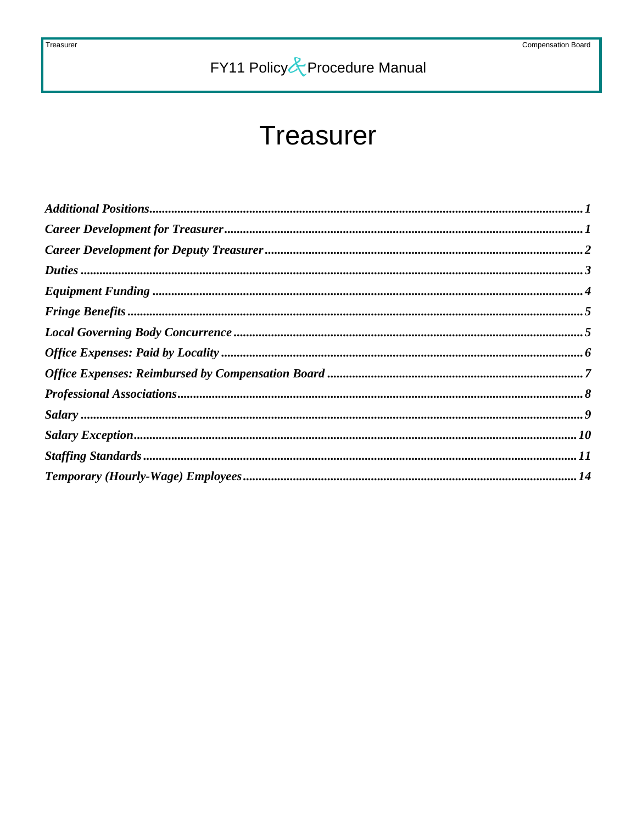# **Treasurer**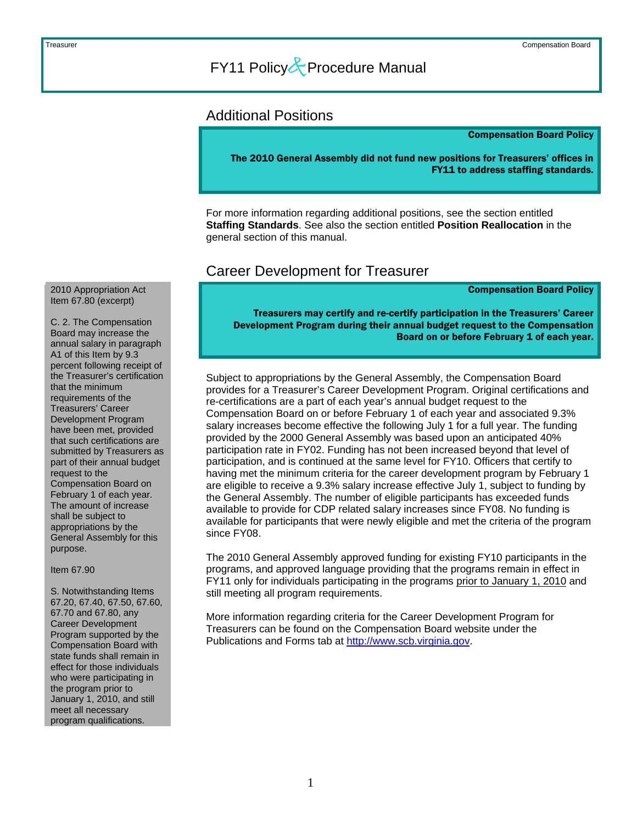### <span id="page-1-0"></span>Additional Positions

#### Compensation Board Policy

The 2010 General Assembly did not fund new positions for Treasurers' offices in FY11 to address staffing standards.

For more information regarding additional positions, see the section entitled **Staffing Standards**. See also the section entitled **Position Reallocation** in the general section of this manual.

### Career Development for Treasurer

Compensation Board Policy

Treasurers may certify and re-certify participation in the Treasurers' Career Development Program during their annual budget request to the Compensation Board on or before February 1 of each year.

Subject to appropriations by the General Assembly, the Compensation Board provides for a Treasurer's Career Development Program. Original certifications and re-certifications are a part of each year's annual budget request to the Compensation Board on or before February 1 of each year and associated 9.3% salary increases become effective the following July 1 for a full year. The funding provided by the 2000 General Assembly was based upon an anticipated 40% participation rate in FY02. Funding has not been increased beyond that level of participation, and is continued at the same level for FY10. Officers that certify to having met the minimum criteria for the career development program by February 1 are eligible to receive a 9.3% salary increase effective July 1, subject to funding by the General Assembly. The number of eligible participants has exceeded funds available to provide for CDP related salary increases since FY08. No funding is available for participants that were newly eligible and met the criteria of the program since FY08.

The 2010 General Assembly approved funding for existing FY10 participants in the programs, and approved language providing that the programs remain in effect in FY11 only for individuals participating in the programs prior to January 1, 2010 and still meeting all program requirements.

More information regarding criteria for the Career Development Program for Treasurers can be found on the Compensation Board website under the Publications and Forms tab at [http://www.scb.virginia.gov.](http://www.scb.virginia.gov/)

### 2010 Appropriation Act Item 67.80 (excerpt)

C. 2. The Compensation Board may increase the annual salary in paragraph A1 of this Item by 9.3 percent following receipt of the Treasurer's certification that the minimum requirements of the Treasurers' Career Development Program have been met, provided that such certifications are submitted by Treasurers as part of their annual budget request to the Compensation Board on February 1 of each year. The amount of increase shall be subject to appropriations by the General Assembly for this purpose.

Item 67.90

S. Notwithstanding Items 67.20, 67.40, 67.50, 67.60, 67.70 and 67.80, any Career Development Program supported by the Compensation Board with state funds shall remain in effect for those individuals who were participating in the program prior to January 1, 2010, and still meet all necessary program qualifications.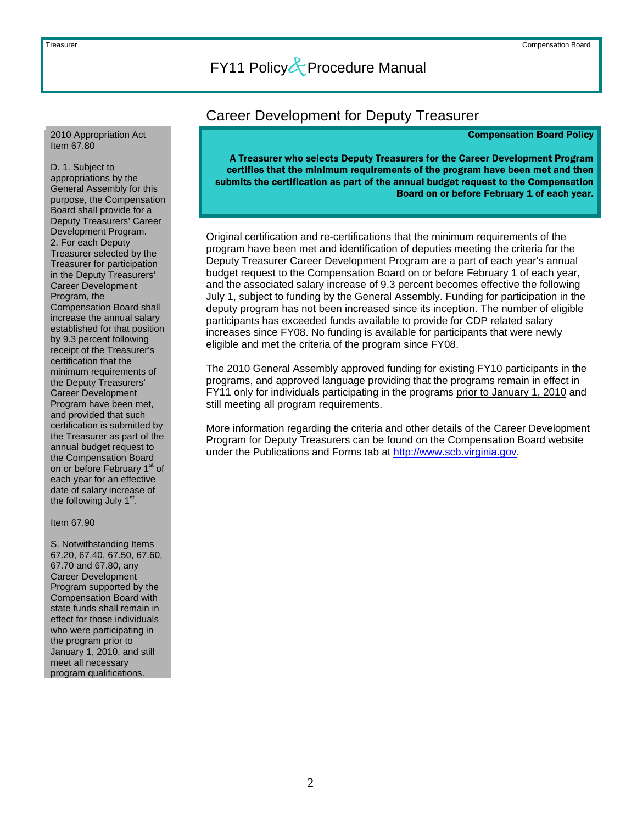## Career Development for Deputy Treasurer

#### Compensation Board Policy

A Treasurer who selects Deputy Treasurers for the Career Development Program certifies that the minimum requirements of the program have been met and then submits the certification as part of the annual budget request to the Compensation Board on or before February 1 of each year.

Original certification and re-certifications that the minimum requirements of the program have been met and identification of deputies meeting the criteria for the Deputy Treasurer Career Development Program are a part of each year's annual budget request to the Compensation Board on or before February 1 of each year, and the associated salary increase of 9.3 percent becomes effective the following July 1, subject to funding by the General Assembly. Funding for participation in the deputy program has not been increased since its inception. The number of eligible participants has exceeded funds available to provide for CDP related salary increases since FY08. No funding is available for participants that were newly eligible and met the criteria of the program since FY08.

The 2010 General Assembly approved funding for existing FY10 participants in the programs, and approved language providing that the programs remain in effect in FY11 only for individuals participating in the programs prior to January 1, 2010 and still meeting all program requirements.

More information regarding the criteria and other details of the Career Development Program for Deputy Treasurers can be found on the Compensation Board website under the Publications and Forms tab at [http://www.scb.virginia.gov.](http://www.scb.virginia.gov/)

<span id="page-2-0"></span>2010 Appropriation Act Item 67.80

### D. 1. Subject to

appropriations by the General Assembly for this purpose, the Compensation Board shall provide for a Deputy Treasurers' Career Development Program. 2. For each Deputy Treasurer selected by the Treasurer for participation in the Deputy Treasurers' Career Development Program, the Compensation Board shall increase the annual salary established for that position by 9.3 percent following receipt of the Treasurer's certification that the minimum requirements of the Deputy Treasurers' Career Development Program have been met, and provided that such certification is submitted by the Treasurer as part of the annual budget request to the Compensation Board on or before February 1<sup>st</sup> of each year for an effective date of salary increase of the following July  $1<sup>st</sup>$ .

#### Item 67.90

S. Notwithstanding Items 67.20, 67.40, 67.50, 67.60, 67.70 and 67.80, any Career Development Program supported by the Compensation Board with state funds shall remain in effect for those individuals who were participating in the program prior to January 1, 2010, and still meet all necessary program qualifications.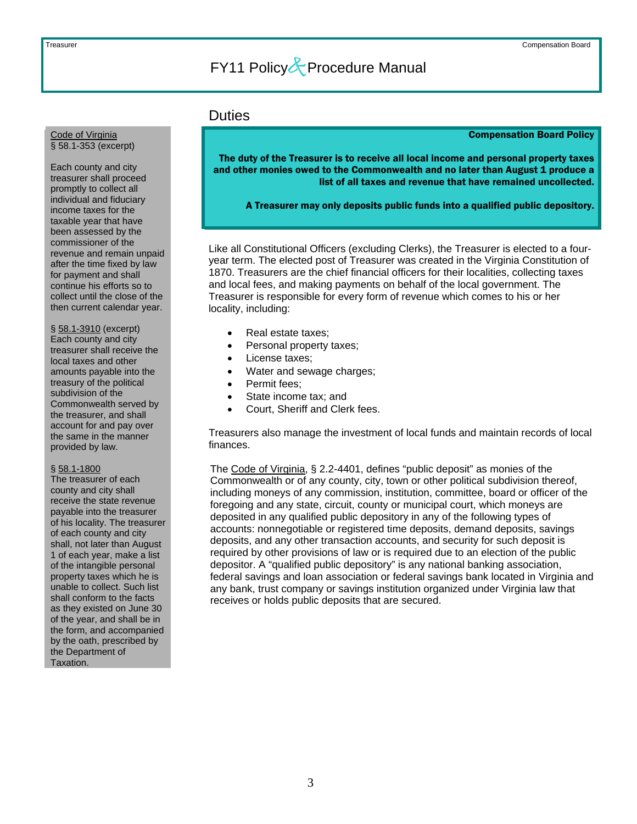### **Duties**

### Compensation Board Policy

The duty of the Treasurer is to receive all local income and personal property taxes and other monies owed to the Commonwealth and no later than August 1 produce a list of all taxes and revenue that have remained uncollected.

A Treasurer may only deposits public funds into a qualified public depository.

Like all Constitutional Officers (excluding Clerks), the Treasurer is elected to a fouryear term. The elected post of Treasurer was created in the Virginia Constitution of 1870. Treasurers are the chief financial officers for their localities, collecting taxes and local fees, and making payments on behalf of the local government. The Treasurer is responsible for every form of revenue which comes to his or her locality, including:

- Real estate taxes;
- Personal property taxes;
- License taxes;
- Water and sewage charges;
- Permit fees;
- State income tax; and
- Court, Sheriff and Clerk fees.

Treasurers also manage the investment of local funds and maintain records of local finances.

The Code of Virginia, § 2.2-4401, defines "public deposit" as monies of the Commonwealth or of any county, city, town or other political subdivision thereof, including moneys of any commission, institution, committee, board or officer of the foregoing and any state, circuit, county or municipal court, which moneys are deposited in any qualified public depository in any of the following types of accounts: nonnegotiable or registered time deposits, demand deposits, savings deposits, and any other transaction accounts, and security for such deposit is required by other provisions of law or is required due to an election of the public depositor. A "qualified public depository" is any national banking association, federal savings and loan association or federal savings bank located in Virginia and any bank, trust company or savings institution organized under Virginia law that receives or holds public deposits that are secured.

### <span id="page-3-0"></span>Code of Virginia § 58.1-353 (excerpt)

Each county and city treasurer shall proceed promptly to collect all individual and fiduciary income taxes for the taxable year that have been assessed by the commissioner of the revenue and remain unpaid after the time fixed by law for payment and shall continue his efforts so to collect until the close of the then current calendar year.

### § 58.1-3910 (excerpt)

Each county and city treasurer shall receive the local taxes and other amounts payable into the treasury of the political subdivision of the Commonwealth served by the treasurer, and shall account for and pay over the same in the manner provided by law.

#### § 58.1-1800

The treasurer of each county and city shall receive the state revenue payable into the treasurer of his locality. The treasurer of each county and city shall, not later than August 1 of each year, make a list of the intangible personal property taxes which he is unable to collect. Such list shall conform to the facts as they existed on June 30 of the year, and shall be in the form, and accompanied by the oath, prescribed by the Department of Taxation.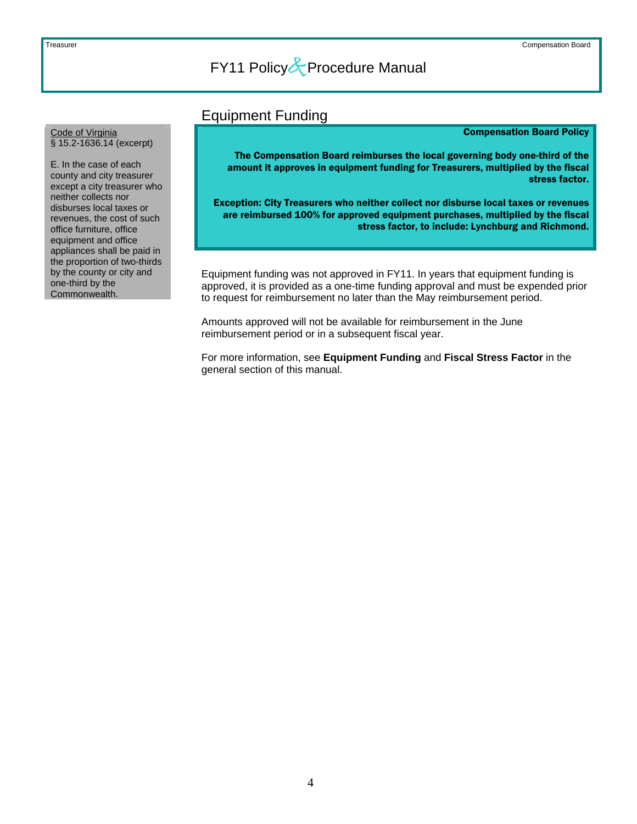### Equipment Funding

### Compensation Board Policy

The Compensation Board reimburses the local governing body one-third of the amount it approves in equipment funding for Treasurers, multiplied by the fiscal stress factor.

Exception: City Treasurers who neither collect nor disburse local taxes or revenues are reimbursed 100% for approved equipment purchases, multiplied by the fiscal stress factor, to include: Lynchburg and Richmond.

Equipment funding was not approved in FY11. In years that equipment funding is approved, it is provided as a one-time funding approval and must be expended prior to request for reimbursement no later than the May reimbursement period.

Amounts approved will not be available for reimbursement in the June reimbursement period or in a subsequent fiscal year.

For more information, see **Equipment Funding** and **Fiscal Stress Factor** in the general section of this manual.

<span id="page-4-0"></span>Code of Virginia § 15.2-1636.14 (excerpt)

E. In the case of each county and city treasurer except a city treasurer who neither collects nor disburses local taxes or revenues, the cost of such office furniture, office equipment and office appliances shall be paid in the proportion of two-thirds by the county or city and one-third by the Commonwealth.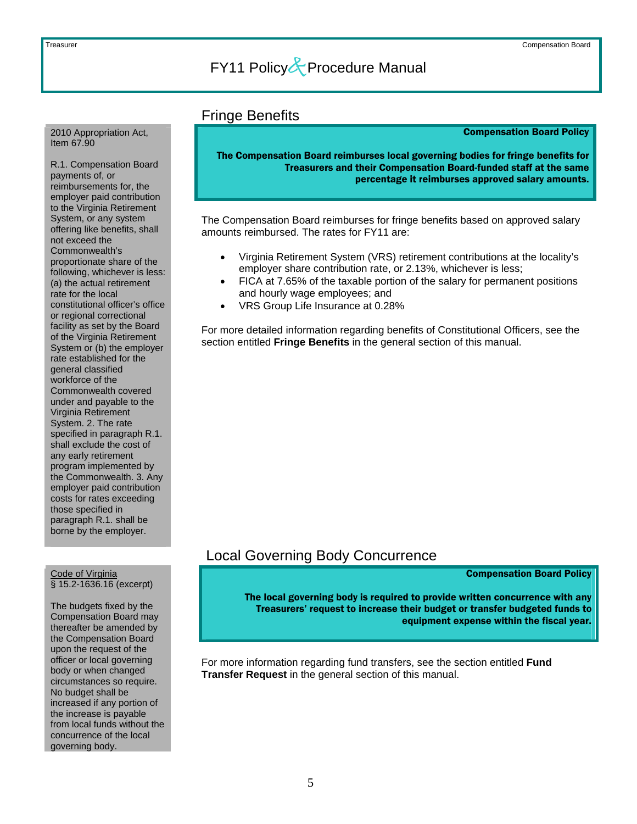### Fringe Benefits

### Compensation Board Policy

The Compensation Board reimburses local governing bodies for fringe benefits for Treasurers and their Compensation Board-funded staff at the same percentage it reimburses approved salary amounts.

The Compensation Board reimburses for fringe benefits based on approved salary amounts reimbursed. The rates for FY11 are:

- Virginia Retirement System (VRS) retirement contributions at the locality's employer share contribution rate, or 2.13%, whichever is less;
- FICA at 7.65% of the taxable portion of the salary for permanent positions and hourly wage employees; and
- VRS Group Life Insurance at 0.28%

For more detailed information regarding benefits of Constitutional Officers, see the section entitled **Fringe Benefits** in the general section of this manual.

## Local Governing Body Concurrence

#### Compensation Board Policy

The local governing body is required to provide written concurrence with any Treasurers' request to increase their budget or transfer budgeted funds to equipment expense within the fiscal year.

For more information regarding fund transfers, see the section entitled **Fund Transfer Request** in the general section of this manual.

<span id="page-5-0"></span>2010 Appropriation Act, Item 67.90

R.1. Compensation Board payments of, or reimbursements for, the employer paid contribution to the Virginia Retirement System, or any system offering like benefits, shall not exceed the Commonwealth's proportionate share of the following, whichever is less: (a) the actual retirement rate for the local constitutional officer's office or regional correctional facility as set by the Board of the Virginia Retirement System or (b) the employer rate established for the general classified workforce of the Commonwealth covered under and payable to the Virginia Retirement System. 2. The rate specified in paragraph R.1. shall exclude the cost of any early retirement program implemented by the Commonwealth. 3. Any employer paid contribution costs for rates exceeding those specified in paragraph R.1. shall be borne by the employer.

#### Code of Virginia § 15.2-1636.16 (excerpt)

The budgets fixed by the Compensation Board may thereafter be amended by the Compensation Board upon the request of the officer or local governing body or when changed circumstances so require. No budget shall be increased if any portion of the increase is payable from local funds without the concurrence of the local governing body.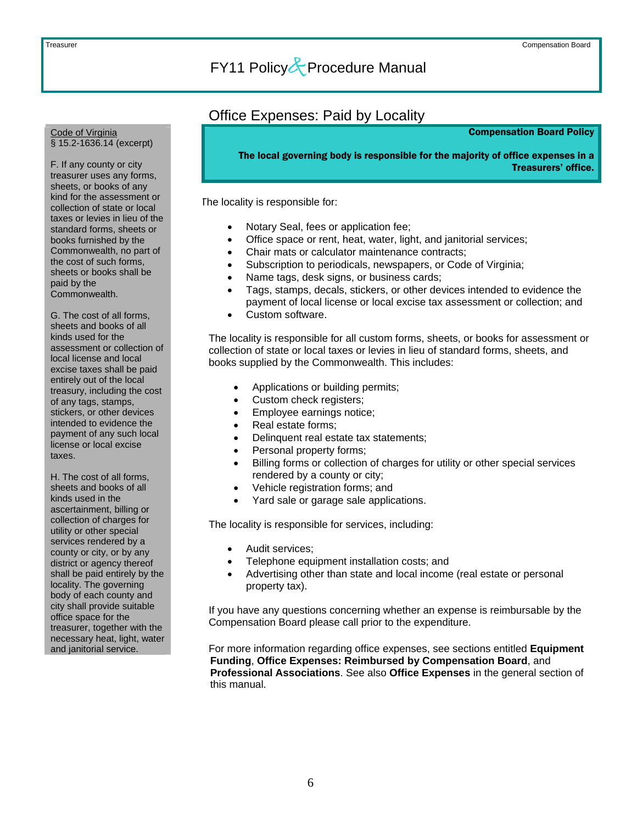## Office Expenses: Paid by Locality

### Compensation Board Policy

The local governing body is responsible for the majority of office expenses in a Treasurers' office.

The locality is responsible for:

- Notary Seal, fees or application fee;
- Office space or rent, heat, water, light, and janitorial services;
- Chair mats or calculator maintenance contracts;
- Subscription to periodicals, newspapers, or Code of Virginia;
- Name tags, desk signs, or business cards;
- Tags, stamps, decals, stickers, or other devices intended to evidence the payment of local license or local excise tax assessment or collection; and
- Custom software.

The locality is responsible for all custom forms, sheets, or books for assessment or collection of state or local taxes or levies in lieu of standard forms, sheets, and books supplied by the Commonwealth. This includes:

- Applications or building permits;
- Custom check registers;
- Employee earnings notice;
- Real estate forms;
- Delinquent real estate tax statements;
- Personal property forms;
- Billing forms or collection of charges for utility or other special services rendered by a county or city;
- Vehicle registration forms; and
- Yard sale or garage sale applications.

The locality is responsible for services, including:

- Audit services;
- Telephone equipment installation costs; and
- Advertising other than state and local income (real estate or personal property tax).

If you have any questions concerning whether an expense is reimbursable by the Compensation Board please call prior to the expenditure.

For more information regarding office expenses, see sections entitled **Equipment Funding**, **Office Expenses: Reimbursed by Compensation Board**, and **Professional Associations**. See also **Office Expenses** in the general section of this manual.

<span id="page-6-0"></span>Code of Virginia § 15.2-1636.14 (excerpt)

F. If any county or city treasurer uses any forms, sheets, or books of any kind for the assessment or collection of state or local taxes or levies in lieu of the standard forms, sheets or books furnished by the Commonwealth, no part of the cost of such forms, sheets or books shall be paid by the Commonwealth.

G. The cost of all forms, sheets and books of all kinds used for the assessment or collection of local license and local excise taxes shall be paid entirely out of the local treasury, including the cost of any tags, stamps, stickers, or other devices intended to evidence the payment of any such local license or local excise taxes.

H. The cost of all forms, sheets and books of all kinds used in the ascertainment, billing or collection of charges for utility or other special services rendered by a county or city, or by any district or agency thereof shall be paid entirely by the locality. The governing body of each county and city shall provide suitable office space for the treasurer, together with the necessary heat, light, water and janitorial service.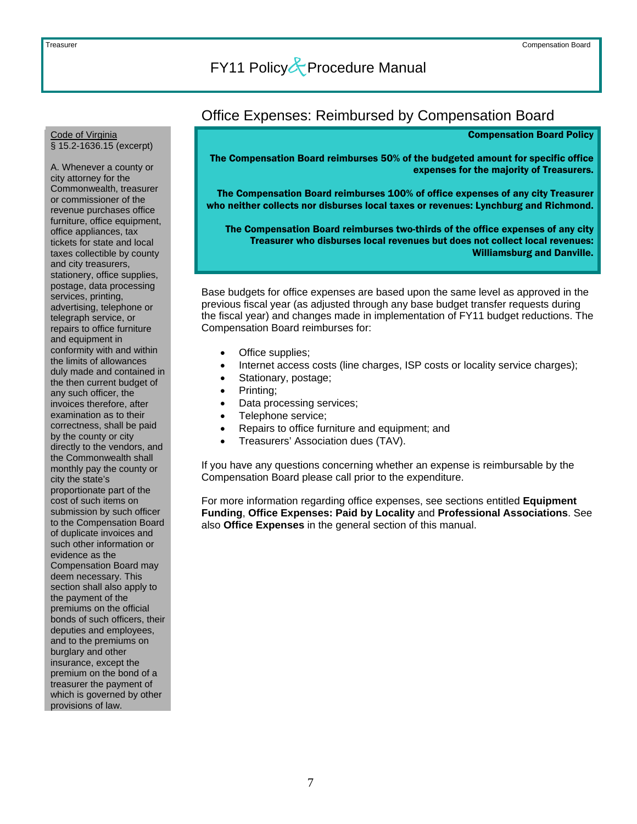### Office Expenses: Reimbursed by Compensation Board

#### Compensation Board Policy

The Compensation Board reimburses 50% of the budgeted amount for specific office expenses for the majority of Treasurers.

The Compensation Board reimburses 100% of office expenses of any city Treasurer who neither collects nor disburses local taxes or revenues: Lynchburg and Richmond.

The Compensation Board reimburses two-thirds of the office expenses of any city Treasurer who disburses local revenues but does not collect local revenues: Williamsburg and Danville.

Base budgets for office expenses are based upon the same level as approved in the previous fiscal year (as adjusted through any base budget transfer requests during the fiscal year) and changes made in implementation of FY11 budget reductions. The Compensation Board reimburses for:

- Office supplies;
- Internet access costs (line charges, ISP costs or locality service charges);
- Stationary, postage;
- Printing;
- Data processing services;
- Telephone service;
- Repairs to office furniture and equipment; and
- Treasurers' Association dues (TAV).

If you have any questions concerning whether an expense is reimbursable by the Compensation Board please call prior to the expenditure.

For more information regarding office expenses, see sections entitled **Equipment Funding**, **Office Expenses: Paid by Locality** and **Professional Associations**. See also **Office Expenses** in the general section of this manual.

### <span id="page-7-0"></span>Code of Virginia § 15.2-1636.15 (excerpt)

A. Whenever a county or city attorney for the Commonwealth, treasurer or commissioner of the revenue purchases office furniture, office equipment, office appliances, tax tickets for state and local taxes collectible by county and city treasurers, stationery, office supplies, postage, data processing services, printing, advertising, telephone or telegraph service, or repairs to office furniture and equipment in conformity with and within the limits of allowances duly made and contained in the then current budget of any such officer, the invoices therefore, after examination as to their correctness, shall be paid by the county or city directly to the vendors, and the Commonwealth shall monthly pay the county or city the state's proportionate part of the cost of such items on submission by such officer to the Compensation Board of duplicate invoices and such other information or evidence as the Compensation Board may deem necessary. This section shall also apply to the payment of the premiums on the official bonds of such officers, their deputies and employees, and to the premiums on burglary and other insurance, except the premium on the bond of a treasurer the payment of which is governed by other provisions of law.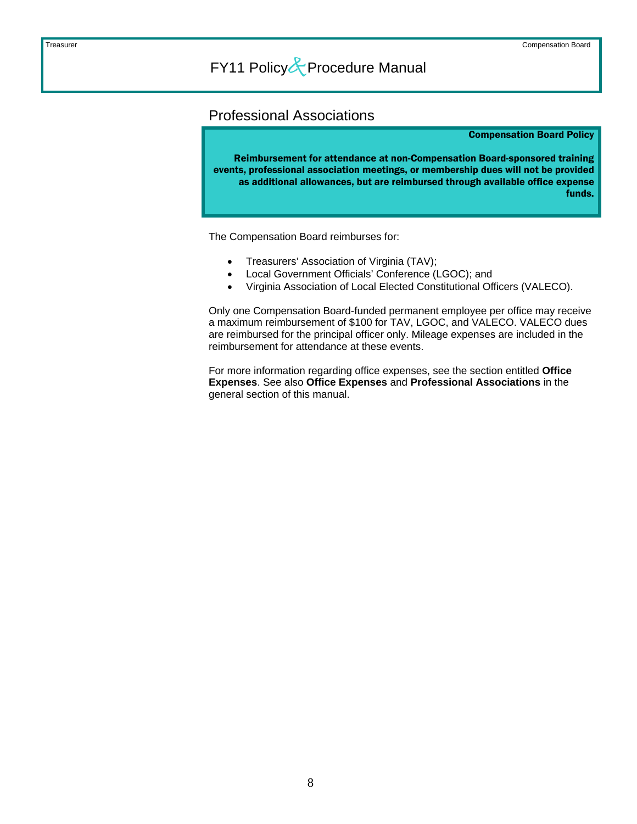### <span id="page-8-0"></span>Professional Associations

#### Compensation Board Policy

Reimbursement for attendance at non-Compensation Board-sponsored training events, professional association meetings, or membership dues will not be provided as additional allowances, but are reimbursed through available office expense funds.

The Compensation Board reimburses for:

- Treasurers' Association of Virginia (TAV);
- Local Government Officials' Conference (LGOC); and
- Virginia Association of Local Elected Constitutional Officers (VALECO).

Only one Compensation Board-funded permanent employee per office may receive a maximum reimbursement of \$100 for TAV, LGOC, and VALECO. VALECO dues are reimbursed for the principal officer only. Mileage expenses are included in the reimbursement for attendance at these events.

For more information regarding office expenses, see the section entitled **Office Expenses**. See also **Office Expenses** and **Professional Associations** in the general section of this manual.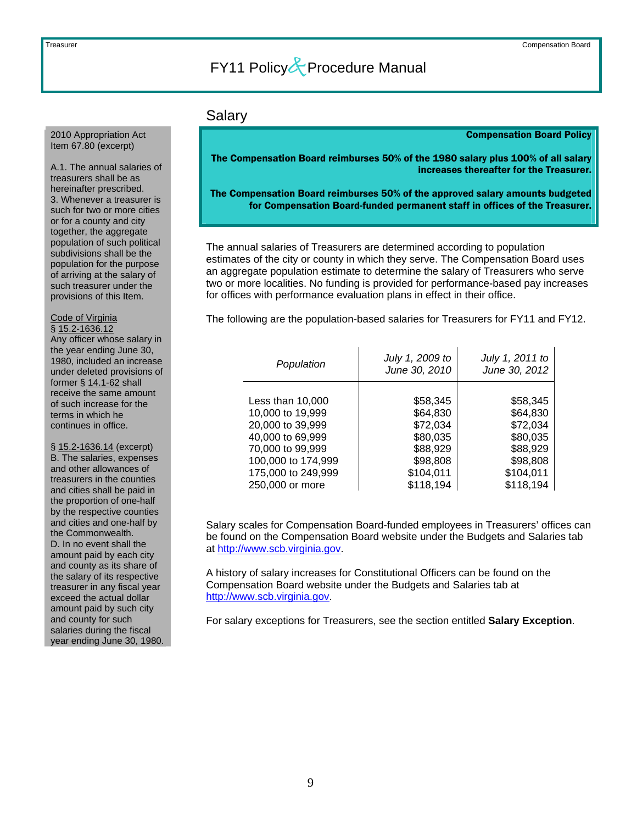### Salary

#### Compensation Board Policy

The Compensation Board reimburses 50% of the 1980 salary plus 100% of all salary increases thereafter for the Treasurer.

The Compensation Board reimburses 50% of the approved salary amounts budgeted for Compensation Board-funded permanent staff in offices of the Treasurer.

The annual salaries of Treasurers are determined according to population estimates of the city or county in which they serve. The Compensation Board uses an aggregate population estimate to determine the salary of Treasurers who serve two or more localities. No funding is provided for performance-based pay increases for offices with performance evaluation plans in effect in their office.

The following are the population-based salaries for Treasurers for FY11 and FY12.

| Population         | July 1, 2009 to<br>June 30, 2010 | July 1, 2011 to<br>June 30, 2012 |
|--------------------|----------------------------------|----------------------------------|
| Less than 10,000   | \$58,345                         | \$58,345                         |
| 10,000 to 19,999   | \$64,830                         | \$64,830                         |
| 20,000 to 39,999   | \$72,034                         | \$72,034                         |
| 40,000 to 69,999   | \$80,035                         | \$80,035                         |
| 70,000 to 99,999   | \$88,929                         | \$88,929                         |
| 100,000 to 174,999 | \$98,808                         | \$98,808                         |
| 175,000 to 249,999 | \$104,011                        | \$104,011                        |
| 250,000 or more    | \$118,194                        | \$118,194                        |

Salary scales for Compensation Board-funded employees in Treasurers' offices can be found on the Compensation Board website under the Budgets and Salaries tab at [http://www.scb.virginia.gov.](http://www.scb.virginia.gov/)

A history of salary increases for Constitutional Officers can be found on the Compensation Board website under the Budgets and Salaries tab at [http://www.scb.virginia.gov.](http://www.scb.virginia.gov/)

For salary exceptions for Treasurers, see the section entitled **Salary Exception**.

### <span id="page-9-0"></span>2010 Appropriation Act Item 67.80 (excerpt)

A.1. The annual salaries of treasurers shall be as hereinafter prescribed. 3. Whenever a treasurer is such for two or more cities or for a county and city together, the aggregate population of such political subdivisions shall be the population for the purpose of arriving at the salary of such treasurer under the provisions of this Item.

### Code of Virginia

§ 15.2-1636.12 Any officer whose salary in the year ending June 30, 1980, included an increase under deleted provisions of former § 14.1-62 shall receive the same amount of such increase for the terms in which he continues in office.

§ 15.2-1636.14 (excerpt) B. The salaries, expenses and other allowances of treasurers in the counties and cities shall be paid in the proportion of one-half by the respective counties and cities and one-half by the Commonwealth. D. In no event shall the amount paid by each city and county as its share of the salary of its respective treasurer in any fiscal year exceed the actual dollar amount paid by such city and county for such salaries during the fiscal year ending June 30, 1980.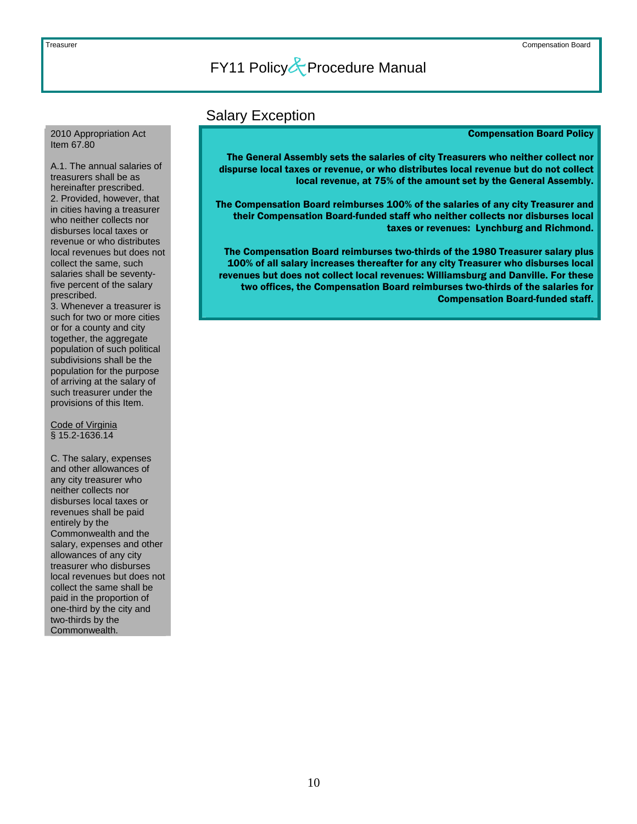### Salary Exception

### Compensation Board Policy

The General Assembly sets the salaries of city Treasurers who neither collect nor dispurse local taxes or revenue, or who distributes local revenue but do not collect local revenue, at 75% of the amount set by the General Assembly.

The Compensation Board reimburses 100% of the salaries of any city Treasurer and their Compensation Board-funded staff who neither collects nor disburses local taxes or revenues: Lynchburg and Richmond.

The Compensation Board reimburses two-thirds of the 1980 Treasurer salary plus 100% of all salary increases thereafter for any city Treasurer who disburses local revenues but does not collect local revenues: Williamsburg and Danville. For these two offices, the Compensation Board reimburses two-thirds of the salaries for Compensation Board-funded staff.

<span id="page-10-0"></span>2010 Appropriation Act Item 67.80

A.1. The annual salaries of treasurers shall be as hereinafter prescribed. 2. Provided, however, that in cities having a treasurer who neither collects nor disburses local taxes or revenue or who distributes local revenues but does not collect the same, such salaries shall be seventyfive percent of the salary prescribed.

3. Whenever a treasurer is such for two or more cities or for a county and city together, the aggregate population of such political subdivisions shall be the population for the purpose of arriving at the salary of such treasurer under the provisions of this Item.

Code of Virginia § 15.2-1636.14

C. The salary, expenses and other allowances of any city treasurer who neither collects nor disburses local taxes or revenues shall be paid entirely by the Commonwealth and the salary, expenses and other allowances of any city treasurer who disburses local revenues but does not collect the same shall be paid in the proportion of one-third by the city and two-thirds by the Commonwealth.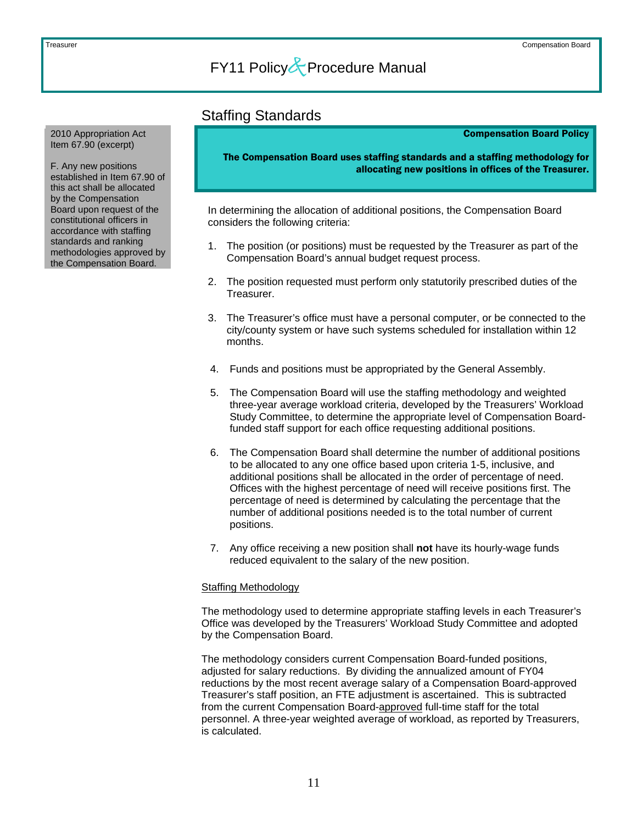### Staffing Standards

#### Compensation Board Policy

The Compensation Board uses staffing standards and a staffing methodology for allocating new positions in offices of the Treasurer.

In determining the allocation of additional positions, the Compensation Board considers the following criteria:

- 1. The position (or positions) must be requested by the Treasurer as part of the Compensation Board's annual budget request process.
- 2. The position requested must perform only statutorily prescribed duties of the Treasurer.
- 3. The Treasurer's office must have a personal computer, or be connected to the city/county system or have such systems scheduled for installation within 12 months.
- 4. Funds and positions must be appropriated by the General Assembly.
- 5. The Compensation Board will use the staffing methodology and weighted three-year average workload criteria, developed by the Treasurers' Workload Study Committee, to determine the appropriate level of Compensation Boardfunded staff support for each office requesting additional positions.
- 6. The Compensation Board shall determine the number of additional positions to be allocated to any one office based upon criteria 1-5, inclusive, and additional positions shall be allocated in the order of percentage of need. Offices with the highest percentage of need will receive positions first. The percentage of need is determined by calculating the percentage that the number of additional positions needed is to the total number of current positions.
- 7. Any office receiving a new position shall **not** have its hourly-wage funds reduced equivalent to the salary of the new position.

### Staffing Methodology

The methodology used to determine appropriate staffing levels in each Treasurer's Office was developed by the Treasurers' Workload Study Committee and adopted by the Compensation Board.

The methodology considers current Compensation Board-funded positions, adjusted for salary reductions. By dividing the annualized amount of FY04 reductions by the most recent average salary of a Compensation Board-approved Treasurer's staff position, an FTE adjustment is ascertained. This is subtracted from the current Compensation Board-approved full-time staff for the total personnel. A three-year weighted average of workload, as reported by Treasurers, is calculated.

<span id="page-11-0"></span>2010 Appropriation Act Item 67.90 (excerpt)

F. Any new positions established in Item 67.90 of this act shall be allocated by the Compensation Board upon request of the constitutional officers in accordance with staffing standards and ranking methodologies approved by the Compensation Board.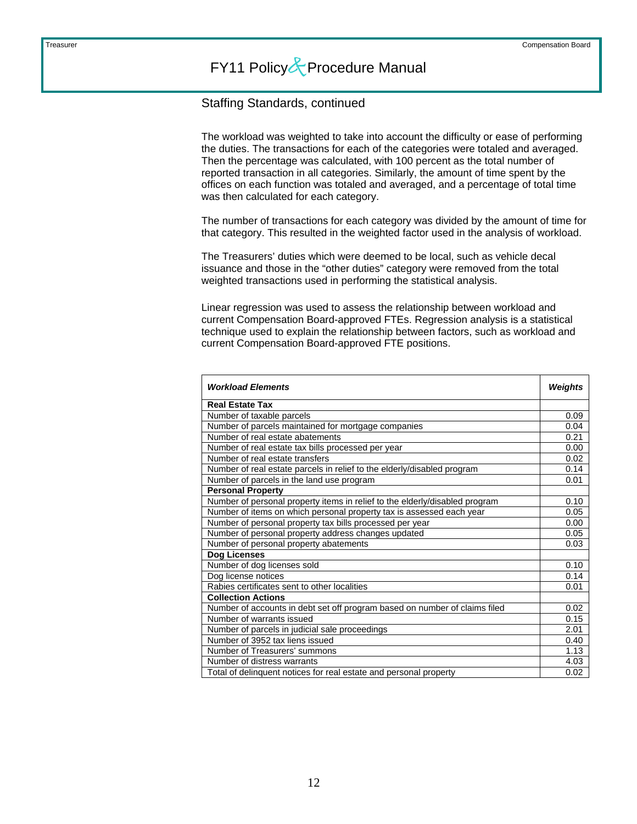Staffing Standards, continued

The workload was weighted to take into account the difficulty or ease of performing the duties. The transactions for each of the categories were totaled and averaged. Then the percentage was calculated, with 100 percent as the total number of reported transaction in all categories. Similarly, the amount of time spent by the offices on each function was totaled and averaged, and a percentage of total time was then calculated for each category.

The number of transactions for each category was divided by the amount of time for that category. This resulted in the weighted factor used in the analysis of workload.

The Treasurers' duties which were deemed to be local, such as vehicle decal issuance and those in the "other duties" category were removed from the total weighted transactions used in performing the statistical analysis.

Linear regression was used to assess the relationship between workload and current Compensation Board-approved FTEs. Regression analysis is a statistical technique used to explain the relationship between factors, such as workload and current Compensation Board-approved FTE positions.

| <b>Workload Elements</b>                                                    | Weights |
|-----------------------------------------------------------------------------|---------|
| <b>Real Estate Tax</b>                                                      |         |
| Number of taxable parcels                                                   | 0.09    |
| Number of parcels maintained for mortgage companies                         | 0.04    |
| Number of real estate abatements                                            | 0.21    |
| Number of real estate tax bills processed per year                          | 0.00    |
| Number of real estate transfers                                             | 0.02    |
| Number of real estate parcels in relief to the elderly/disabled program     | 0.14    |
| Number of parcels in the land use program                                   | 0.01    |
| <b>Personal Property</b>                                                    |         |
| Number of personal property items in relief to the elderly/disabled program | 0.10    |
| Number of items on which personal property tax is assessed each year        | 0.05    |
| Number of personal property tax bills processed per year                    | 0.00    |
| Number of personal property address changes updated                         | 0.05    |
| Number of personal property abatements                                      | 0.03    |
| Dog Licenses                                                                |         |
| Number of dog licenses sold                                                 | 0.10    |
| Dog license notices                                                         | 0.14    |
| Rabies certificates sent to other localities                                | 0.01    |
| <b>Collection Actions</b>                                                   |         |
| Number of accounts in debt set off program based on number of claims filed  | 0.02    |
| Number of warrants issued                                                   | 0.15    |
| Number of parcels in judicial sale proceedings                              | 2.01    |
| Number of 3952 tax liens issued                                             | 0.40    |
| Number of Treasurers' summons                                               | 1.13    |
| Number of distress warrants                                                 | 4.03    |
| Total of delinquent notices for real estate and personal property           | 0.02    |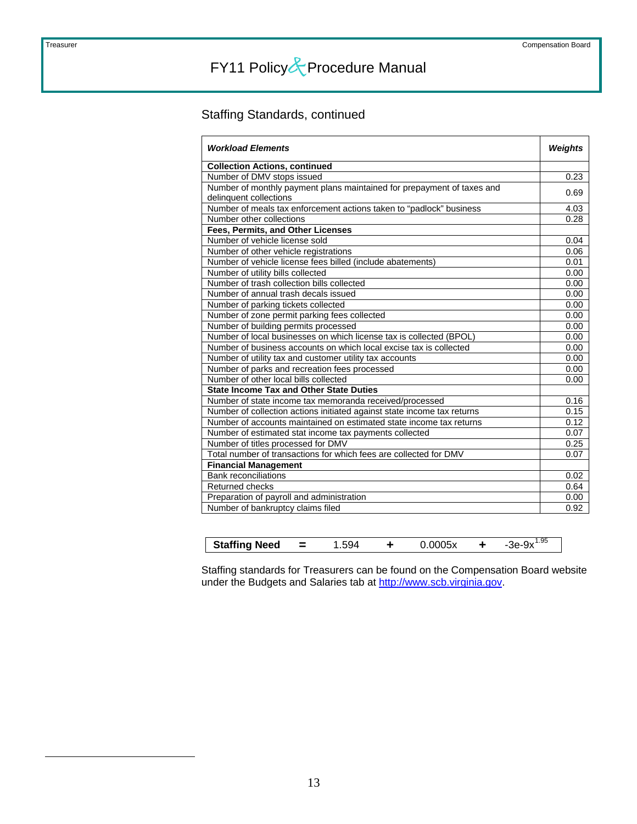<span id="page-13-0"></span> $\overline{a}$ 

## FY11 Policy&Procedure Manual

### Staffing Standards, continued

| <b>Workload Elements</b>                                                                         | Weights |
|--------------------------------------------------------------------------------------------------|---------|
| <b>Collection Actions, continued</b>                                                             |         |
| Number of DMV stops issued                                                                       | 0.23    |
| Number of monthly payment plans maintained for prepayment of taxes and<br>delinquent collections | 0.69    |
| Number of meals tax enforcement actions taken to "padlock" business                              | 4.03    |
| Number other collections                                                                         | 0.28    |
| <b>Fees, Permits, and Other Licenses</b>                                                         |         |
| Number of vehicle license sold                                                                   | 0.04    |
| Number of other vehicle registrations                                                            | 0.06    |
| Number of vehicle license fees billed (include abatements)                                       | 0.01    |
| Number of utility bills collected                                                                | 0.00    |
| Number of trash collection bills collected                                                       | 0.00    |
| Number of annual trash decals issued                                                             | 0.00    |
| Number of parking tickets collected                                                              | 0.00    |
| Number of zone permit parking fees collected                                                     | 0.00    |
| Number of building permits processed                                                             | 0.00    |
| Number of local businesses on which license tax is collected (BPOL)                              | 0.00    |
| Number of business accounts on which local excise tax is collected                               | 0.00    |
| Number of utility tax and customer utility tax accounts                                          | 0.00    |
| Number of parks and recreation fees processed                                                    | 0.00    |
| Number of other local bills collected                                                            | 0.00    |
| <b>State Income Tax and Other State Duties</b>                                                   |         |
| Number of state income tax memoranda received/processed                                          | 0.16    |
| Number of collection actions initiated against state income tax returns                          | 0.15    |
| Number of accounts maintained on estimated state income tax returns                              | 0.12    |
| Number of estimated stat income tax payments collected                                           | 0.07    |
| Number of titles processed for DMV                                                               | 0.25    |
| Total number of transactions for which fees are collected for DMV                                | 0.07    |
| <b>Financial Management</b>                                                                      |         |
| <b>Bank reconciliations</b>                                                                      | 0.02    |
| Returned checks                                                                                  | 0.64    |
| Preparation of payroll and administration                                                        | 0.00    |
| Number of bankruptcy claims filed                                                                | 0.92    |

| Staffing Need |  | 1.594 |  | 0.0005x |  | -3e-9x <sup>1.95</sup> |
|---------------|--|-------|--|---------|--|------------------------|
|---------------|--|-------|--|---------|--|------------------------|

Staffing standards for Treasurers can be found on the Compensation Board website under the Budgets and Salaries tab at [http://www.scb.virginia.gov.](http://www.scb.virginia.gov/)